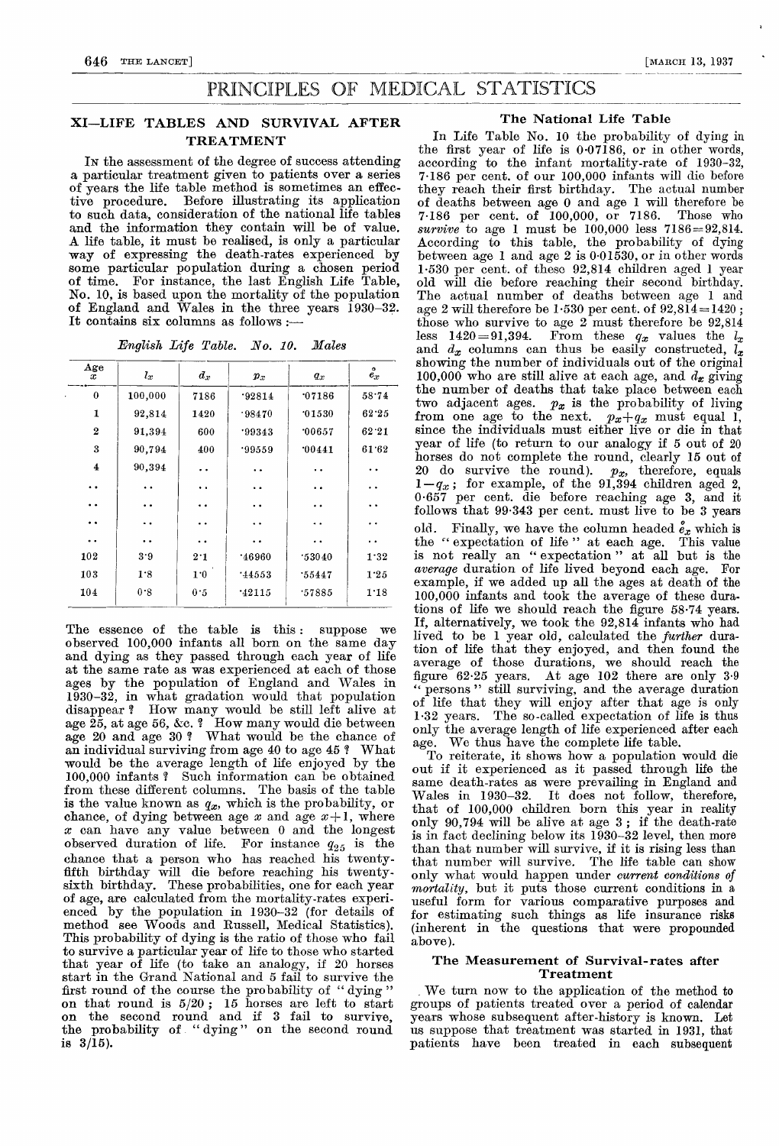# PRINCIPLES OF MEDICAL STATISTICS

## XI—LIFE TABLES AND SURVIVAL AFTER TREATMENT

IN the assessment of the degree of success attending a particular treatment given to patients over a series of years the life table method is sometimes an effective procedure. Before illustrating its application to such data, consideration of the national life tables and the information they contain will be of value. A life table, it must be realised, is only a particular way of expressing the death-rates experienced by some particular population during a chosen period of time. For instance, the last English Life Table, No. 10, is based upon the mortality of the population of England and Wales in the three years 1930-32. It contains six columns as follows :-

English Life Table. No. 10..Males

| Age<br>x             | $l_x$                | $\boldsymbol{d_x}$   | $\pmb{p}_x$          | $q_x$                | $\bullet$<br>$\bar{e_x}$ |
|----------------------|----------------------|----------------------|----------------------|----------------------|--------------------------|
| $\bf{0}$             | 100,000              | 7186                 | .92814               | 07186                | 58.74                    |
| 1                    | 92,814               | 1420                 | .98470               | 01530                | 62.25                    |
| $\overline{2}$       | 91,394               | 600                  | .99343               | 00657                | 62.21                    |
| 3                    | 90,794               | 400                  | .99559               | 00441                | 61.62                    |
| 4                    | 90,394               | $\ddot{\phantom{a}}$ | . .                  | $\ddot{\phantom{0}}$ |                          |
| $\ddot{\phantom{a}}$ | $\ddot{\phantom{a}}$ | $\ddot{\phantom{1}}$ | $\ddot{\phantom{1}}$ | $\ddot{\phantom{0}}$ | $\ddot{\phantom{a}}$     |
| . .                  |                      |                      | . .                  | . .                  |                          |
| $\ddot{\bullet}$     | $\ddot{\phantom{a}}$ | $\ddot{\phantom{a}}$ | $\ddot{\phantom{1}}$ | . .                  | . .                      |
| $\ddot{\phantom{a}}$ | $\ddot{\phantom{a}}$ | . .                  | $\ddot{\phantom{0}}$ | . .                  | . .                      |
| 102                  | 3.9                  | 2.1                  | .46960               | .53040               | 1.32                     |
| 103                  | 1.8                  | 1.0                  | 14553                | .55447               | 1.25                     |
| 104                  | 0.8                  | 0.5                  | 142115               | .57885               | 1.18                     |

The essence of the table is this: suppose we observed 100,000 infants all born on the same day and dying as they passed through each year of life at the same rate as was experienced at each of those ages by the population of England and Wales in 1930-32, in what gradation would that population disappear ? How many would be still left alive at age  $\tilde{25}$ , at age 56, &c.  $?$  How many would die between age 20 and age 30 ? What would be the chance of an individual surviving from age 40 to age 45 ? 'What would be the average length of life enjoyed by the 100,000 infants ? Such information can be obtained from these different columns. The basis of the table is the value known as  $q_x$ , which is the probability, or chance, of dying between age  $x$  and age  $x+1$ , where x can have any value between 0 and the longest observed duration of life. For instance  $q_{25}$  is the chance that a person who has reached his twentyfifth birthday will die before reaching his twentysixth birthday. These probabilities, one for each year of age, are calculated from the mortality-rates experienced by the population in 1930-32 (for details of method see Woods and Russell, Medical Statistics). This probability of dying is the ratio of those who fail to survive a particular year of life to those who started that year of life (to take an analogy, if 20 horses start in the Grand National and 5 fail to survive the first round of the course the probability of "dying" first round of the course the probability of "dying" on that round is  $5/20$ ; 15 horses are left to start on the second round and if 3 fail to survive, the probability of "dying" on the second round is  $3/\overline{1}5$ ).

## The National Life Table

In Life Table No. 10 the probability of dying in the first year of life is 0-07186, or in other words, according to the infant mortality-rate of 1930-32, 7-186 per cent. of our 100,000 infants will die before they reach their first birthday. The actual number of deaths between age 0 and age 1 will therefore be  $7.186$  per cent. of 100,000, or 7186. Those who  $7.186$  per cent. of  $100,000$ , or  $7186$ . survive to age 1 must be  $100,000$  less  $7186 = 92,814$ . According to this table, the probability of dying between age 1 and age 2 is  $0.01\overline{530}$ , or in other words 1-530 per cent. of these 92,814 children aged 1 year old will die before reaching their second birthday. The actual number of deaths between age 1 and age 2 will therefore be  $1.530$  per cent. of  $92,814=1420$ ; those who survive to age  $2$  must therefore be  $92,814$ less 1420=91,394. From these  $q_x$  values the  $l_x$ and  $d_x$  columns can thus be easily constructed,  $\tilde{l}_x$ showing the number of individuals out of the original 100,000 who are still alive at each age, and  $d_x$  giving the number of deaths that take place between each two adjacent ages.  $p_x$  is the probability of living two adjacent ages.  $p_x$  is the probability of living from one age to the next.  $p_x+q_x$  must equal 1, since the individuals must either live or die in that year of life (to return to our analogy if 5 out of 20 horses do not complete the round, clearly 15 out of 20 do survive the round).  $p_x$ , therefore, equals  $1-q_x$ ; for example, of the 91,394 children aged 2, 0.657 per cent. die before reaching age 3, and it follows that  $99.343$  per cent. must live to be 3 years old. Finally, we have the column headed  $e_x$  which is<br>the "expectation of life" at each age. This value is not really an " expectation " at all but is the average duration of life lived beyond each age. For example, if we added up all the ages at death of the 100,000 infants and took the average of these durations of life we should reach the figure 58-74 years. If, alternatively, we took the 92,814 infants who had lived to be 1 year old, calculated the further duration of life that they enjoyed, and then found the average of those durations, we should reach the figure 62.25 years. At age  $102$  there are only  $3.9$ <br>" persons" still surviving and the average duration persons " still surviving, and the average duration of life that they will enjoy after that age is only 1-32 years. The so-called expectation of life is thus only the average length of life experienced after each age. We thus have the complete life table.

To reiterate, it shows how a population would die out if it experienced as it passed through life the same death-rates as were prevailing in England and Wales in 1930–32. It does not follow, therefore, It does not follow, therefore, that of 100,000 children born this year in reality only 90,794 will be alive at age 3 ; if the death-rate is in fact declining below its 1930-32 level, then more than that number will survive, if it is rising less than that number will survive. The life table can show only what would happen under current conditions of mortality, but it puts those current conditions in a useful form for various comparative purposes and for estimating such things as life insurance risks (inherent in the questions that were propounded above).

### The Measurement of Survival-rates after Treatment

We turn now to the application of the method to groups of patients treated over a period of calendar years whose subsequent after-history is known. Let us suppose that treatment was started in 1931, that patients have been treated in each subsequent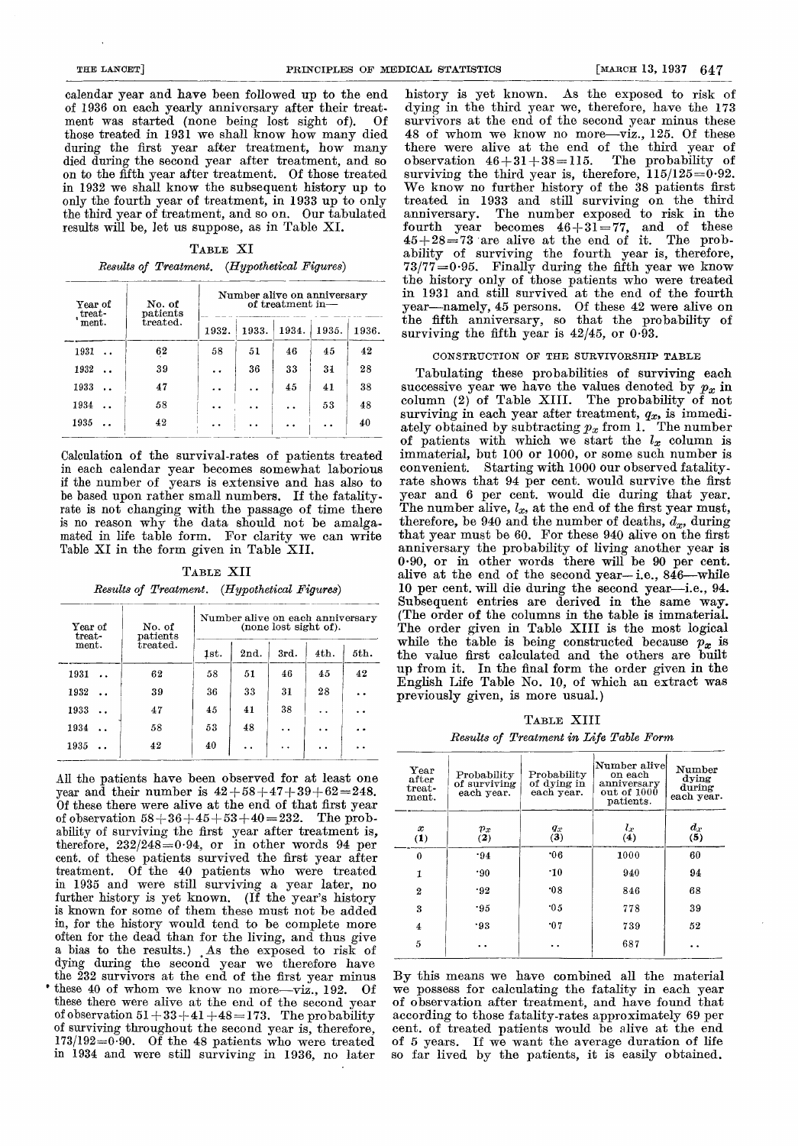calendar year and have been followed up to the end of 1936 on each yearly anniversary after their treat-<br>ment was started (none being lost sight of). Of ment was started (none being lost sight of). those treated in 1931 we shall know how many died during the first year after treatment, how many died during the second year after treatment, and so on to the fifth year after treatment. Of those treated in 1932 we shall know the subsequent history up to only the fourth year of treatment, in 1933 up to only the third year of treatment, and so on. Our tabulated results will be, let us suppose, as in Table XI.

#### TABLE XI

|  | Results of Treatment. (Hypothetical Figures) |
|--|----------------------------------------------|
|--|----------------------------------------------|

| Year of<br>treat- | No. of<br>$_{\rm patients}$ | Number alive on anniversary<br>of treatment in- |       |       |                      |       |  |  |
|-------------------|-----------------------------|-------------------------------------------------|-------|-------|----------------------|-------|--|--|
| ment.             | treated.                    | 1932.                                           | 1933. | 1934. | 1935.                | 1936. |  |  |
| 1931              | 62                          | 58                                              | 51    | 46    | 45                   | 42    |  |  |
| 1932              | 39                          | . .                                             | 36    | 33    | 31                   | 28    |  |  |
| 1933              | 47                          | . .                                             |       | 45    | 41                   | 38    |  |  |
| 1934              | 58                          | . .                                             |       |       | 53                   | 48    |  |  |
| 1935              | 42                          |                                                 |       |       | $\ddot{\phantom{a}}$ | 40    |  |  |

Calculation of the survival-rates of patients treated in each calendar year becomes somewhat laborious if the number of years is extensive and has also to be based upon rather small numbers. If the fatalityrate is not changing with the passage of time there is no reason why the data should not be amalgamated in life table form. For clarity we can write Table XI in the form given in Table XII.

TABLE XII

| Results of Treatment. (Hypothetical Figures) |  |  |
|----------------------------------------------|--|--|
|----------------------------------------------|--|--|

| Year of<br>treat-<br>$\mathbf{ment.}$ | No. of<br>patients<br>treated. | Number alive on each anniversary<br>(none lost sight of). |                      |                      |      |      |  |  |
|---------------------------------------|--------------------------------|-----------------------------------------------------------|----------------------|----------------------|------|------|--|--|
|                                       |                                | 1st.                                                      | 2nd.                 | 3rd.                 | 4th. | 5th. |  |  |
| 1931                                  | 62                             | 58                                                        | 51                   | 46                   | 45   | 42   |  |  |
| 1932<br>$\ddot{\phantom{a}}$          | 39                             | 36                                                        | 33                   | 31                   | 28   | . .  |  |  |
| 1933                                  | 47                             | 45                                                        | 41                   | 38                   | . .  | i e  |  |  |
| 1934                                  | 58                             | 53                                                        | 48                   | $\ddot{\phantom{0}}$ |      |      |  |  |
| 1935                                  | 42                             | 40                                                        | $\ddot{\phantom{a}}$ | $\ddot{\phantom{a}}$ |      |      |  |  |

All the patients have been observed for at least one year and their number is  $42+58+47+39+62=248$ . Of these there were alive at the end of that first year of observation  $58 + 36 + 45 + 53 + 40 = 232$ . The probability of surviving the first year after treatment is, therefore,  $232/248=0.94$ , or in other words 94 per cent. of these patients survived the first year after treatment. Of the 40 patients who were treated in 1935 and were still surviving a year later, no further history is yet known. (If the year's history is known for some of them these must not be added in, for the history would tend to be complete more a bias to the results.) . As the exposed to risk of dying during the second year we therefore have the 232 survivors at the end of the first year minus these 40 of whom we know no more-viz., 192. Of these there were alive at the end of the second year of observation  $51+33+41+48=173$ . The probability of surviving throughout the second year is, therefore,  $173/192=0.90$ . Of the 48 patients who were treated in 1934 and were still surviving in 1936, no later

history is yet known. As the exposed to risk of dying in the third year we, therefore, have the 173 survivors at the end of the second year minus these 48 of whom we know no more-viz., 125. Of these there were alive at the end of the third year of  $\text{observation }46+31+38=115. \quad \text{The probability of}$ surviving the third year is, therefore,  $115/125=0.92$ . We know no further history of the 38 patients first treated in 1933 and still surviving on the third anniversary. The number exposed to risk in the fourth year becomes  $46+31=77$ , and of these  $45+28=73$  are alive at the end of it. The probability of surviving the fourth year is, therefore,  $73/77=0.95$ . Finally during the fifth year we know the history only of those patients who were treated in 1931 and still survived at the end of the fourth year-namely, 45 persons. Of these 42 were alive on the fifth anniversary, so that the probability of surviving the fifth year is  $42/45$ , or  $0.\overline{93}$ .

### CONSTRUCTION OF THE SURVIVORSHIP TABLE

Tabulating these probabilities of surviving each successive year we have the values denoted by  $p_x$  in column (2) of Table XIII. The probability of not surviving in each year after treatment,  $q_x$ , is immediately obtained by subtracting  $p_x$  from 1. The number of patients with which we start the  $l_x$  column is immaterial, but 100 or 1000, or some such number is convenient. Starting with 1000 our observed fatality-Starting with 1000 our observed fatalityrate shows that 94 per cent. would survive the first year and 6 per cent. would die during that year. The number alive,  $l_x$ , at the end of the first year must, therefore, be 940 and the number of deaths,  $d_x$ , during that year must be 60. For these 940 alive on the first anniversary the probability of living another year is 0.90, or in other words there will be 90 per cent. alive at the end of the second year-i.e., 846-while 10 per cent. will die during the second year-i.e., 94. Subsequent entries are derived in the same way. (The order of the columns in the table is immaterial. The order given in Table XIII is the most logical while the table is being constructed because  $p_x$  is the value first calculated and the others are built up from it. In the final form the order given in the English Life Table No. 10, of which an extract was previously given, is more usual.)

TABLE XIII

Results of Treatment in Life Table Form

| Year<br>$_{\rm after}$<br>$t$ reat-<br>$_{\rm ment.}$ | Probability<br>of surviving<br>each year. | Probability<br>of dying in<br>each vear. | Number alive<br>on each<br>anniversary<br>out of $1000$<br>patients. | Number<br>dying<br>during<br>each year. |
|-------------------------------------------------------|-------------------------------------------|------------------------------------------|----------------------------------------------------------------------|-----------------------------------------|
| $\boldsymbol{x}$<br>(1)                               | $r_x$<br>(2)                              | $\frac{q_x}{3}$                          | $l_x$<br>(4)                                                         | $\frac{d_x}{5}$                         |
| $\theta$                                              | .94                                       | 06                                       | 1000                                                                 | 60                                      |
| $\mathbf{1}$                                          | .90                                       | $\cdot$ 10                               | 940                                                                  | 94                                      |
| 2                                                     | .92                                       | 08                                       | 846                                                                  | 68                                      |
| 3                                                     | .95                                       | 0.5                                      | 778                                                                  | 39                                      |
| 4                                                     | .93                                       | 07                                       | 739                                                                  | 52                                      |
| 5                                                     |                                           |                                          | 687                                                                  |                                         |
|                                                       |                                           |                                          |                                                                      |                                         |

By this means we have combined all the material we possess for calculating the fatality in each year of observation after treatment, and have found that according to those fatality-rates approximately 69 per cent. of treated patients would be alive at the end of 5 years. If we want the average duration of life so far lived by the patients, it is easily obtained.